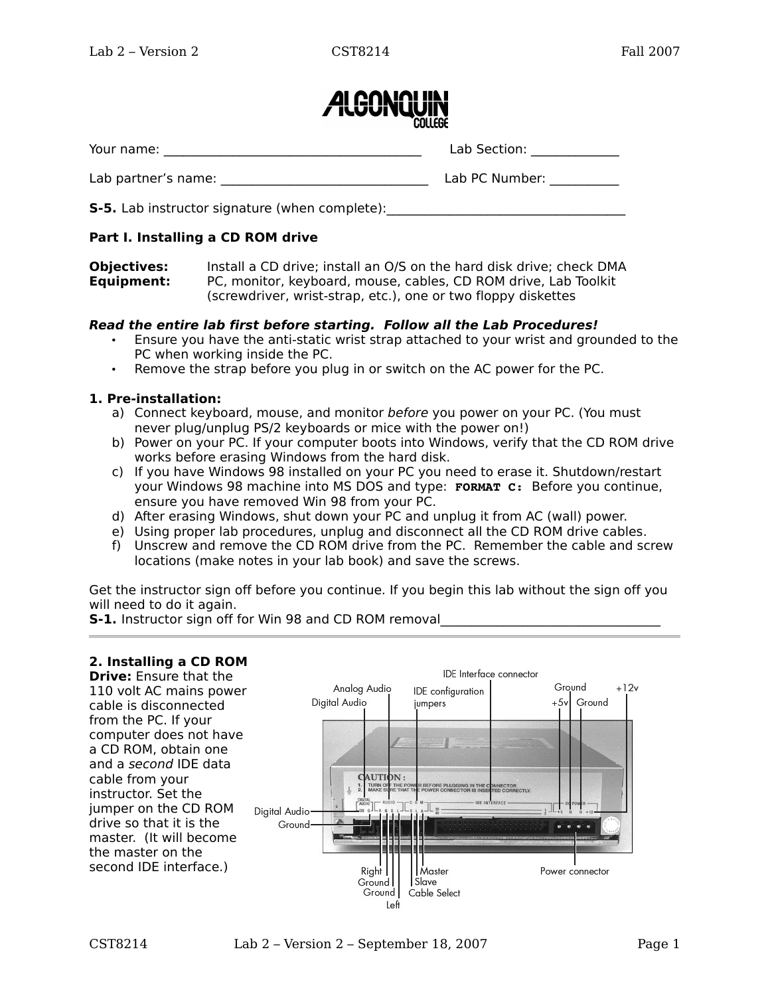

| Your name:          | Lab Section:   |
|---------------------|----------------|
| Lab partner's name: | Lab PC Number: |

**S-5.** Lab instructor signature (when complete):

# **Part I. Installing a CD ROM drive**

**Objectives:** Install a CD drive; install an O/S on the hard disk drive; check DMA **Equipment:** PC, monitor, keyboard, mouse, cables, CD ROM drive, Lab Toolkit (screwdriver, wrist-strap, etc.), one or two floppy diskettes

### **Read the entire lab first before starting. Follow all the Lab Procedures!**

- Ensure you have the anti-static wrist strap attached to your wrist and grounded to the PC when working inside the PC.
- Remove the strap before you plug in or switch on the AC power for the PC.

# **1. Pre-installation:**

- a) Connect keyboard, mouse, and monitor before you power on your PC. (You must never plug/unplug PS/2 keyboards or mice with the power on!)
- b) Power on your PC. If your computer boots into Windows, verify that the CD ROM drive works before erasing Windows from the hard disk.
- c) If you have Windows 98 installed on your PC you need to erase it. Shutdown/restart your Windows 98 machine into MS DOS and type: **FORMAT C:** Before you continue, ensure you have removed Win 98 from your PC.
- d) After erasing Windows, shut down your PC and unplug it from AC (wall) power.
- e) Using proper lab procedures, unplug and disconnect all the CD ROM drive cables.
- f) Unscrew and remove the CD ROM drive from the PC. Remember the cable and screw locations (make notes in your lab book) and save the screws.

Get the instructor sign off before you continue. If you begin this lab without the sign off you will need to do it again.

**S-1.** Instructor sign off for Win 98 and CD ROM removal

# **2. Installing a CD ROM**

**Drive:** Ensure that the 110 volt AC mains power cable is disconnected from the PC. If your computer does not have a CD ROM, obtain one and a second IDE data cable from your instructor. Set the jumper on the CD ROM drive so that it is the master. (It will become the master on the second IDE interface.)

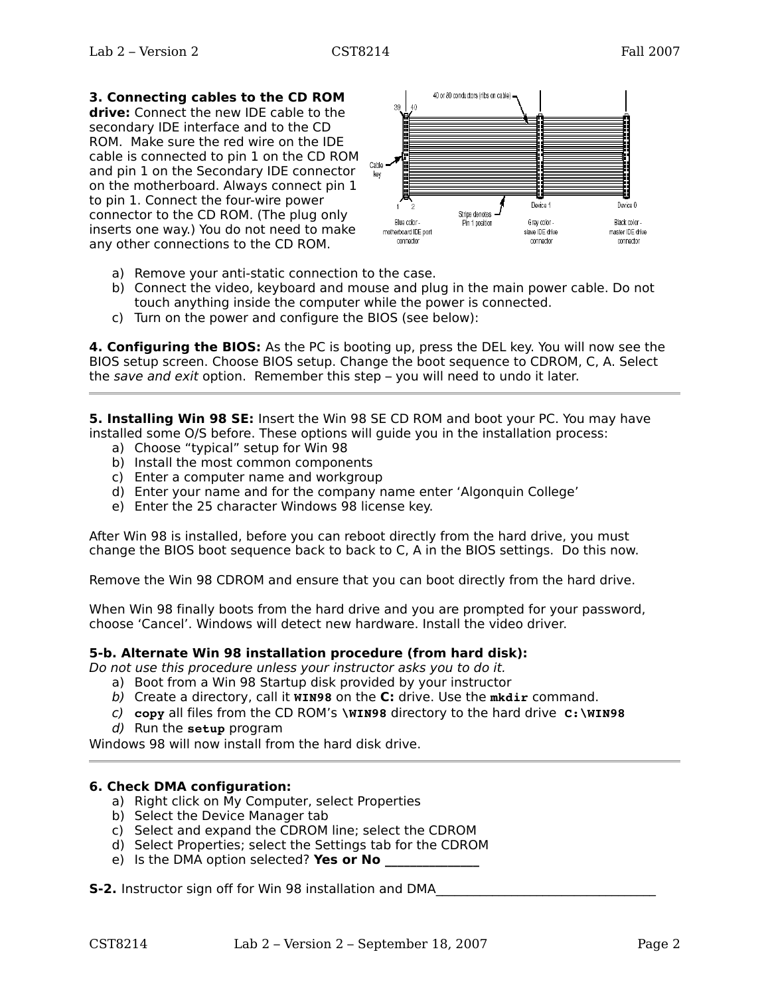# **3. Connecting cables to the CD ROM**

**drive:** Connect the new IDE cable to the secondary IDE interface and to the CD ROM. Make sure the red wire on the IDE cable is connected to pin 1 on the CD ROM and pin 1 on the Secondary IDE connector on the motherboard. Always connect pin 1 to pin 1. Connect the four-wire power connector to the CD ROM. (The plug only inserts one way.) You do not need to make any other connections to the CD ROM.



- a) Remove your anti-static connection to the case.
- b) Connect the video, keyboard and mouse and plug in the main power cable. Do not touch anything inside the computer while the power is connected.
- c) Turn on the power and configure the BIOS (see below):

**4. Configuring the BIOS:** As the PC is booting up, press the DEL key. You will now see the BIOS setup screen. Choose BIOS setup. Change the boot sequence to CDROM, C, A. Select the save and exit option. Remember this step – you will need to undo it later.

**5. Installing Win 98 SE:** Insert the Win 98 SE CD ROM and boot your PC. You may have installed some O/S before. These options will guide you in the installation process:

- a) Choose "typical" setup for Win 98
- b) Install the most common components
- c) Enter a computer name and workgroup
- d) Enter your name and for the company name enter 'Algonquin College'
- e) Enter the 25 character Windows 98 license key.

After Win 98 is installed, before you can reboot directly from the hard drive, you must change the BIOS boot sequence back to back to C, A in the BIOS settings. Do this now.

Remove the Win 98 CDROM and ensure that you can boot directly from the hard drive.

When Win 98 finally boots from the hard drive and you are prompted for your password, choose 'Cancel'. Windows will detect new hardware. Install the video driver.

#### **5-b. Alternate Win 98 installation procedure (from hard disk):**

Do not use this procedure unless your instructor asks you to do it.

- a) Boot from a Win 98 Startup disk provided by your instructor
- b) Create a directory, call it **WIN98** on the **C:** drive. Use the **mkdir** command.
- c) **copy** all files from the CD ROM's **\WIN98** directory to the hard drive **C:\WIN98**
- d) Run the **setup** program

Windows 98 will now install from the hard disk drive.

### **6. Check DMA configuration:**

- a) Right click on My Computer, select Properties
- b) Select the Device Manager tab
- c) Select and expand the CDROM line; select the CDROM
- d) Select Properties; select the Settings tab for the CDROM
- e) Is the DMA option selected? Yes or No

**S-2.** Instructor sign off for Win 98 installation and DMA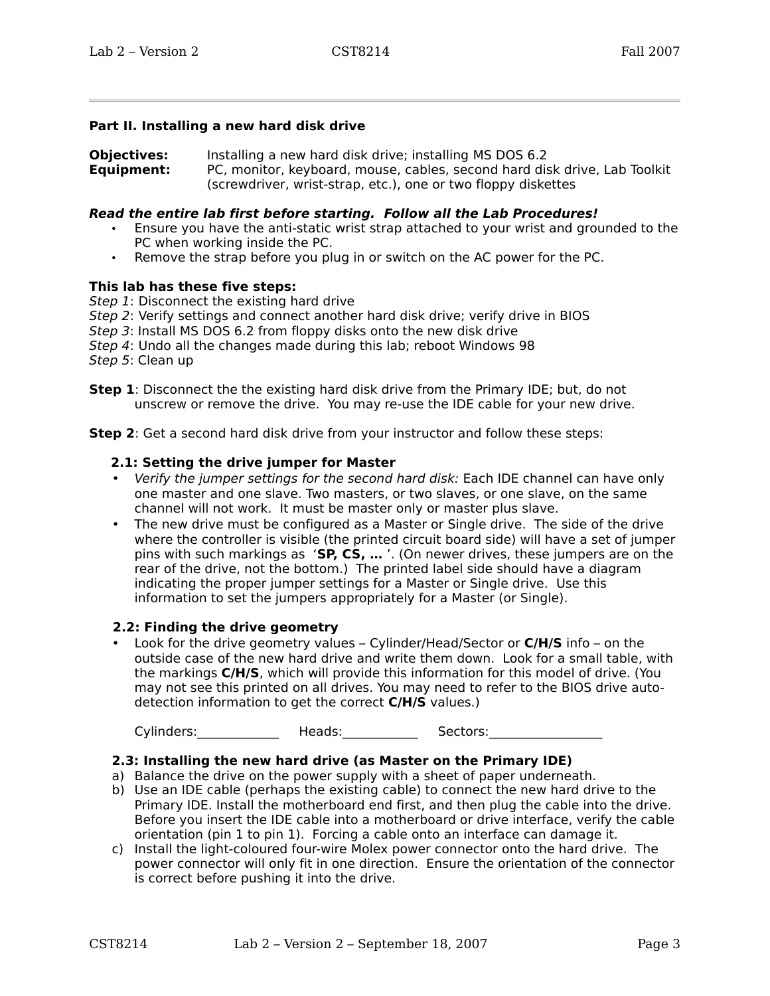#### **Part II. Installing a new hard disk drive**

**Objectives:** Installing a new hard disk drive; installing MS DOS 6.2 **Equipment:** PC, monitor, keyboard, mouse, cables, second hard disk drive, Lab Toolkit (screwdriver, wrist-strap, etc.), one or two floppy diskettes

#### **Read the entire lab first before starting. Follow all the Lab Procedures!**

- Ensure you have the anti-static wrist strap attached to your wrist and grounded to the PC when working inside the PC.
- Remove the strap before you plug in or switch on the AC power for the PC.

#### **This lab has these five steps:**

Step 1: Disconnect the existing hard drive

- Step 2: Verify settings and connect another hard disk drive; verify drive in BIOS
- Step 3: Install MS DOS 6.2 from floppy disks onto the new disk drive
- Step 4: Undo all the changes made during this lab; reboot Windows 98

Step 5: Clean up

**Step 1**: Disconnect the the existing hard disk drive from the Primary IDE; but, do not unscrew or remove the drive. You may re-use the IDE cable for your new drive.

**Step 2**: Get a second hard disk drive from your instructor and follow these steps:

#### **2.1: Setting the drive jumper for Master**

- Verify the jumper settings for the second hard disk: Each IDE channel can have only one master and one slave. Two masters, or two slaves, or one slave, on the same channel will not work. It must be master only or master plus slave.
- The new drive must be configured as a Master or Single drive. The side of the drive where the controller is visible (the printed circuit board side) will have a set of jumper pins with such markings as '**SP, CS, …** '. (On newer drives, these jumpers are on the rear of the drive, not the bottom.) The printed label side should have a diagram indicating the proper jumper settings for a Master or Single drive. Use this information to set the jumpers appropriately for a Master (or Single).

### **2.2: Finding the drive geometry**

• Look for the drive geometry values – Cylinder/Head/Sector or **C/H/S** info – on the outside case of the new hard drive and write them down. Look for a small table, with the markings **C/H/S**, which will provide this information for this model of drive. (You may not see this printed on all drives. You may need to refer to the BIOS drive autodetection information to get the correct **C/H/S** values.)

Cylinders: The Heads: The Sectors:

### **2.3: Installing the new hard drive (as Master on the Primary IDE)**

- a) Balance the drive on the power supply with a sheet of paper underneath.
- b) Use an IDE cable (perhaps the existing cable) to connect the new hard drive to the Primary IDE. Install the motherboard end first, and then plug the cable into the drive. Before you insert the IDE cable into a motherboard or drive interface, verify the cable orientation (pin 1 to pin 1). Forcing a cable onto an interface can damage it.
- c) Install the light-coloured four-wire Molex power connector onto the hard drive. The power connector will only fit in one direction. Ensure the orientation of the connector is correct before pushing it into the drive.